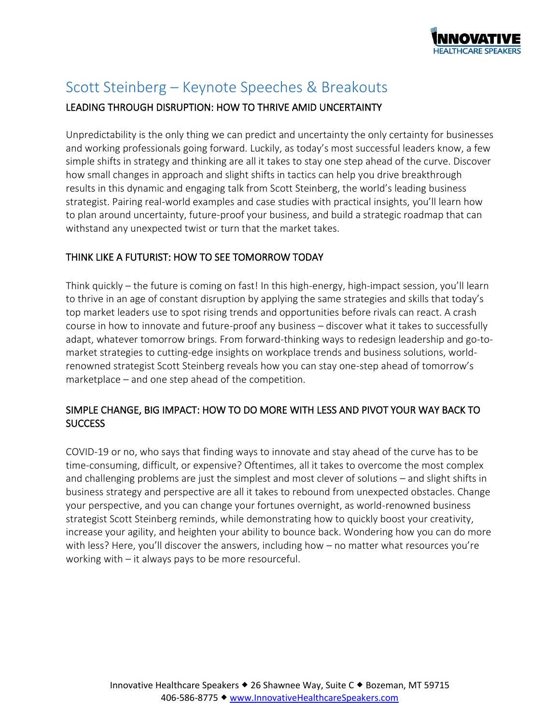

# Scott Steinberg – Keynote Speeches & Breakouts

## LEADING THROUGH DISRUPTION: HOW TO THRIVE AMID UNCERTAINTY

Unpredictability is the only thing we can predict and uncertainty the only certainty for businesses and working professionals going forward. Luckily, as today's most successful leaders know, a few simple shifts in strategy and thinking are all it takes to stay one step ahead of the curve. Discover how small changes in approach and slight shifts in tactics can help you drive breakthrough results in this dynamic and engaging talk from Scott Steinberg, the world's leading business strategist. Pairing real-world examples and case studies with practical insights, you'll learn how to plan around uncertainty, future-proof your business, and build a strategic roadmap that can withstand any unexpected twist or turn that the market takes.

## THINK LIKE A FUTURIST: HOW TO SEE TOMORROW TODAY

Think quickly – the future is coming on fast! In this high-energy, high-impact session, you'll learn to thrive in an age of constant disruption by applying the same strategies and skills that today's top market leaders use to spot rising trends and opportunities before rivals can react. A crash course in how to innovate and future-proof any business – discover what it takes to successfully adapt, whatever tomorrow brings. From forward-thinking ways to redesign leadership and go-tomarket strategies to cutting-edge insights on workplace trends and business solutions, worldrenowned strategist Scott Steinberg reveals how you can stay one-step ahead of tomorrow's marketplace – and one step ahead of the competition.

# SIMPLE CHANGE, BIG IMPACT: HOW TO DO MORE WITH LESS AND PIVOT YOUR WAY BACK TO **SUCCESS**

COVID-19 or no, who says that finding ways to innovate and stay ahead of the curve has to be time-consuming, difficult, or expensive? Oftentimes, all it takes to overcome the most complex and challenging problems are just the simplest and most clever of solutions – and slight shifts in business strategy and perspective are all it takes to rebound from unexpected obstacles. Change your perspective, and you can change your fortunes overnight, as world-renowned business strategist Scott Steinberg reminds, while demonstrating how to quickly boost your creativity, increase your agility, and heighten your ability to bounce back. Wondering how you can do more with less? Here, you'll discover the answers, including how – no matter what resources you're working with – it always pays to be more resourceful.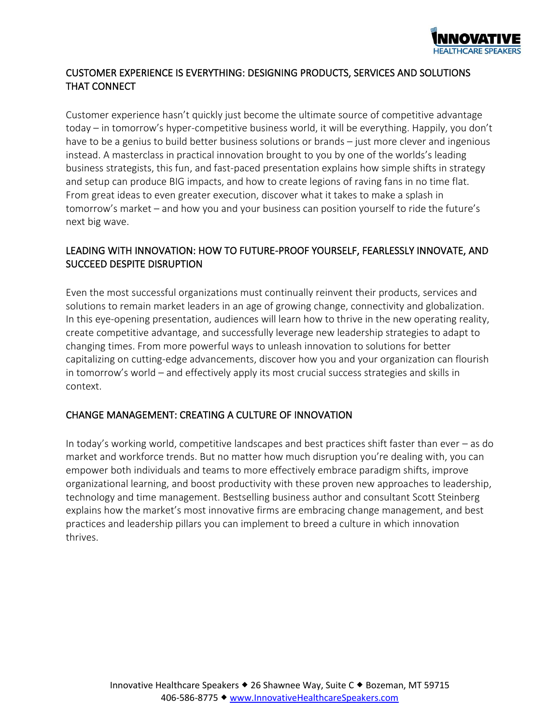

# CUSTOMER EXPERIENCE IS EVERYTHING: DESIGNING PRODUCTS, SERVICES AND SOLUTIONS THAT CONNECT

Customer experience hasn't quickly just become the ultimate source of competitive advantage today – in tomorrow's hyper-competitive business world, it will be everything. Happily, you don't have to be a genius to build better business solutions or brands – just more clever and ingenious instead. A masterclass in practical innovation brought to you by one of the worlds's leading business strategists, this fun, and fast-paced presentation explains how simple shifts in strategy and setup can produce BIG impacts, and how to create legions of raving fans in no time flat. From great ideas to even greater execution, discover what it takes to make a splash in tomorrow's market – and how you and your business can position yourself to ride the future's next big wave.

# LEADING WITH INNOVATION: HOW TO FUTURE-PROOF YOURSELF, FEARLESSLY INNOVATE, AND SUCCEED DESPITE DISRUPTION

Even the most successful organizations must continually reinvent their products, services and solutions to remain market leaders in an age of growing change, connectivity and globalization. In this eye-opening presentation, audiences will learn how to thrive in the new operating reality, create competitive advantage, and successfully leverage new leadership strategies to adapt to changing times. From more powerful ways to unleash innovation to solutions for better capitalizing on cutting-edge advancements, discover how you and your organization can flourish in tomorrow's world – and effectively apply its most crucial success strategies and skills in context.

## CHANGE MANAGEMENT: CREATING A CULTURE OF INNOVATION

In today's working world, competitive landscapes and best practices shift faster than ever – as do market and workforce trends. But no matter how much disruption you're dealing with, you can empower both individuals and teams to more effectively embrace paradigm shifts, improve organizational learning, and boost productivity with these proven new approaches to leadership, technology and time management. Bestselling business author and consultant Scott Steinberg explains how the market's most innovative firms are embracing change management, and best practices and leadership pillars you can implement to breed a culture in which innovation thrives.